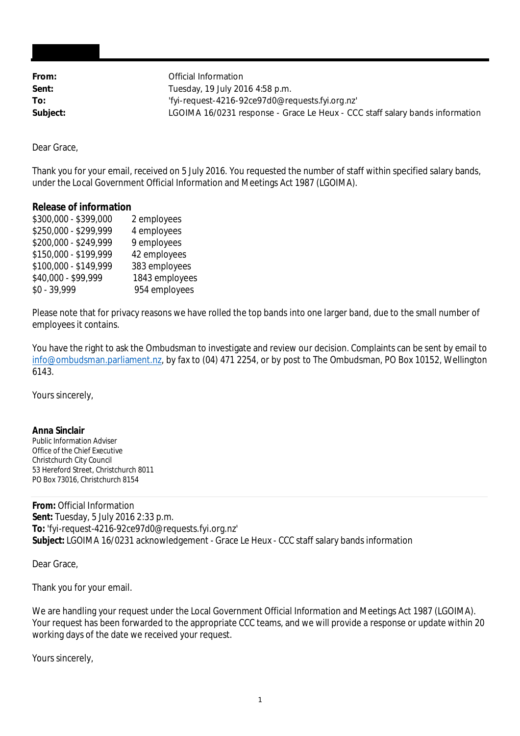| From:    | Official Information                                                         |
|----------|------------------------------------------------------------------------------|
| Sent:    | Tuesday, 19 July 2016 4:58 p.m.                                              |
| To:      | 'fyi-request-4216-92ce97d0@requests.fyi.org.nz'                              |
| Subject: | LGOIMA 16/0231 response - Grace Le Heux - CCC staff salary bands information |

Dear Grace,

Thank you for your email, received on 5 July 2016. You requested the number of staff within specified salary bands, under the Local Government Official Information and Meetings Act 1987 (LGOIMA).

## **Release of information**

| \$250,000 - \$299,999<br>4 employees<br>\$200,000 - \$249,999<br>9 employees<br>\$150,000 - \$199,999<br>42 employees<br>\$100,000 - \$149,999<br>383 employees<br>\$40,000 - \$99,999<br>$$0 - 39,999$ | \$300,000 - \$399,000 | 2 employees    |
|---------------------------------------------------------------------------------------------------------------------------------------------------------------------------------------------------------|-----------------------|----------------|
|                                                                                                                                                                                                         |                       |                |
|                                                                                                                                                                                                         |                       |                |
|                                                                                                                                                                                                         |                       |                |
|                                                                                                                                                                                                         |                       |                |
|                                                                                                                                                                                                         |                       | 1843 employees |
|                                                                                                                                                                                                         |                       | 954 employees  |

Please note that for privacy reasons we have rolled the top bands into one larger band, due to the small number of employees it contains.

You have the right to ask the Ombudsman to investigate and review our decision. Complaints can be sent by email to info@ombudsman.parliament.nz, by fax to (04) 471 2254, or by post to The Ombudsman, PO Box 10152, Wellington 6143.

Yours sincerely,

**Anna Sinclair** Public Information Adviser Office of the Chief Executive Christchurch City Council 53 Hereford Street, Christchurch 8011 PO Box 73016, Christchurch 8154

**From:** Official Information **Sent:** Tuesday, 5 July 2016 2:33 p.m. **To:** 'fyi-request-4216-92ce97d0@requests.fyi.org.nz' **Subject:** LGOIMA 16/0231 acknowledgement - Grace Le Heux - CCC staff salary bands information

Dear Grace,

Thank you for your email.

We are handling your request under the Local Government Official Information and Meetings Act 1987 (LGOIMA). Your request has been forwarded to the appropriate CCC teams, and we will provide a response or update within 20 working days of the date we received your request.

Yours sincerely,